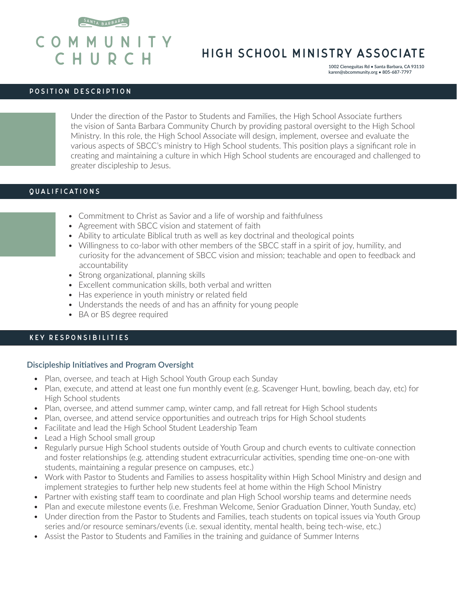



# HIGH SCHOOL MINISTRY ASSOCIATE

**1002 Cieneguitas Rd • Santa Barbara, CA 93110 karen@sbcommunity.org • 805-687-7797**

#### POSITION DESCRIPTION

Under the direction of the Pastor to Students and Families, the High School Associate furthers the vision of Santa Barbara Community Church by providing pastoral oversight to the High School Ministry. In this role, the High School Associate will design, implement, oversee and evaluate the various aspects of SBCC's ministry to High School students. This position plays a significant role in creating and maintaining a culture in which High School students are encouraged and challenged to greater discipleship to Jesus.

## QUALIFICATIONS

- Commitment to Christ as Savior and a life of worship and faithfulness
- Agreement with SBCC vision and statement of faith
- Ability to articulate Biblical truth as well as key doctrinal and theological points
- Willingness to co-labor with other members of the SBCC staff in a spirit of joy, humility, and curiosity for the advancement of SBCC vision and mission; teachable and open to feedback and accountability
- Strong organizational, planning skills
- Excellent communication skills, both verbal and written
- Has experience in youth ministry or related field
- Understands the needs of and has an affinity for young people
- BA or BS degree required

## KEY RESPONSIBILITIES

#### **Discipleship Initiatives and Program Oversight**

- Plan, oversee, and teach at High School Youth Group each Sunday
- Plan, execute, and attend at least one fun monthly event (e.g. Scavenger Hunt, bowling, beach day, etc) for High School students
- Plan, oversee, and attend summer camp, winter camp, and fall retreat for High School students
- Plan, oversee, and attend service opportunities and outreach trips for High School students
- Facilitate and lead the High School Student Leadership Team
- Lead a High School small group
- Regularly pursue High School students outside of Youth Group and church events to cultivate connection and foster relationships (e.g. attending student extracurricular activities, spending time one-on-one with students, maintaining a regular presence on campuses, etc.)
- Work with Pastor to Students and Families to assess hospitality within High School Ministry and design and implement strategies to further help new students feel at home within the High School Ministry
- Partner with existing staff team to coordinate and plan High School worship teams and determine needs
- Plan and execute milestone events (i.e. Freshman Welcome, Senior Graduation Dinner, Youth Sunday, etc)
- Under direction from the Pastor to Students and Families, teach students on topical issues via Youth Group series and/or resource seminars/events (i.e. sexual identity, mental health, being tech-wise, etc.)
- Assist the Pastor to Students and Families in the training and guidance of Summer Interns